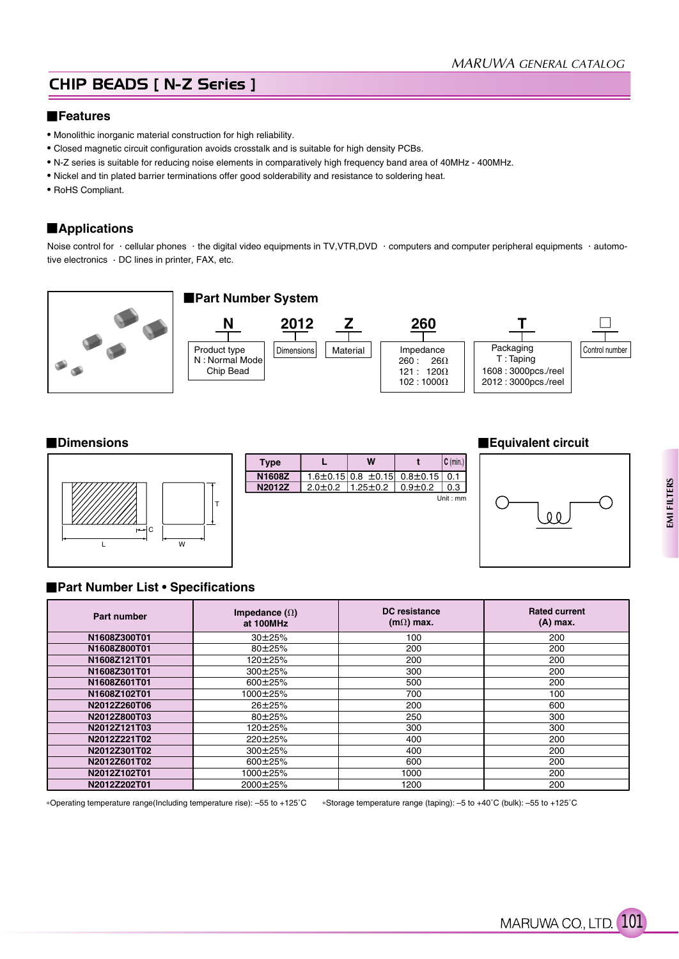## CHIP BEADS [ N-Z Series ]

#### **Features**

- Monolithic inorganic material construction for high reliability.
- Closed magnetic circuit configuration avoids crosstalk and is suitable for high density PCBs.
- N-Z series is suitable for reducing noise elements in comparatively high frequency band area of 40MHz 400MHz.
- Nickel and tin plated barrier terminations offer good solderability and resistance to soldering heat.
- RoHS Compliant.

### **Applications**

Noise control for · cellular phones · the digital video equipments in TV,VTR,DVD · computers and computer peripheral equipments · automotive electronics  $\cdot$  DC lines in printer, FAX, etc.





| <b>Type</b>   |               | w                             |              | $C$ (min.) |
|---------------|---------------|-------------------------------|--------------|------------|
| N1608Z        |               | $1.6 \pm 0.15$ 0.8 $\pm 0.15$ | $0.8 + 0.15$ | 0.1        |
| <b>N2012Z</b> | $2.0 \pm 0.2$ | $1.25 \pm 0.2$                | $0.9 + 0.2$  | 0.3        |
|               |               |                               |              | Unit: mm   |
|               |               |                               |              |            |
|               |               |                               |              |            |
|               |               |                               |              |            |

#### **Dimensions Equivalent circuit**



### **Part Number List • Specifications**

| Part number  | Impedance $(\Omega)$<br>at 100MHz | DC resistance<br>$(m\Omega)$ max. | <b>Rated current</b><br>$(A)$ max. |
|--------------|-----------------------------------|-----------------------------------|------------------------------------|
| N1608Z300T01 | $30 + 25%$                        | 100                               | 200                                |
| N1608Z800T01 | 80±25%                            | 200                               | 200                                |
| N1608Z121T01 | 120±25%                           | 200                               | 200                                |
| N1608Z301T01 | 300±25%                           | 300                               | 200                                |
| N1608Z601T01 | 600±25%                           | 500                               | 200                                |
| N1608Z102T01 | 1000±25%                          | 700                               | 100                                |
| N2012Z260T06 | $26 \pm 25%$                      | 200                               | 600                                |
| N2012Z800T03 | $80 + 25%$                        | 250                               | 300                                |
| N2012Z121T03 | 120±25%                           | 300                               | 300                                |
| N2012Z221T02 | $220 \pm 25\%$                    | 400                               | 200                                |
| N2012Z301T02 | $300\pm25%$                       | 400                               | 200                                |
| N2012Z601T02 | 600±25%                           | 600                               | 200                                |
| N2012Z102T01 | 1000±25%                          | 1000                              | 200                                |
| N2012Z202T01 | 2000±25%                          | 1200                              | 200                                |

Operating temperature range(Including temperature rise): –55 to +125˚C Storage temperature range (taping): –5 to +40˚C (bulk): –55 to +125˚C